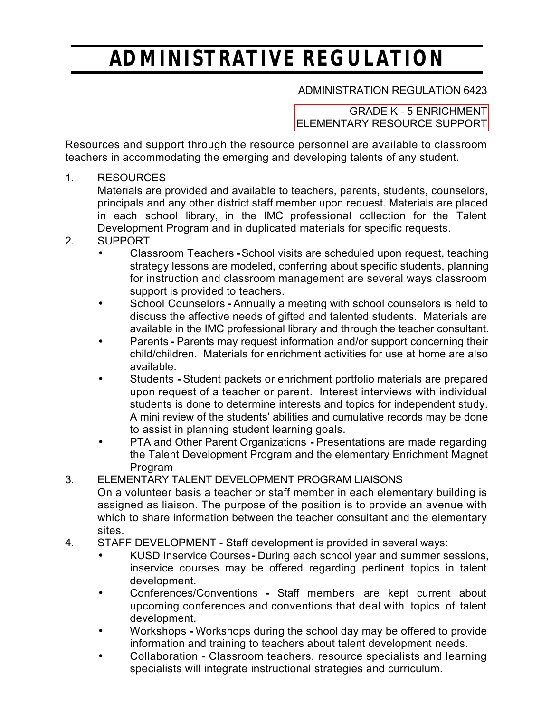# *ADMINISTRATIVE REGULATION*

### ADMINISTRATION REGULATION 6423

#### GRADE K - 5 ENRICHMENT [ELEMENTARY RESOURCE SUPPORT](http://www.kusd.edu/board/policies/6000/6000-series.html)

Resources and support through the resource personnel are available to classroom teachers in accommodating the emerging and developing talents of any student.

1. RESOURCES

Materials are provided and available to teachers, parents, students, counselors, principals and any other district staff member upon request. Materials are placed in each school library, in the IMC professional collection for the Talent Development Program and in duplicated materials for specific requests.

- 2. SUPPORT
	- Classroom TeachersSchool visits are scheduled upon request, teaching strategy lessons are modeled, conferring about specific students, planning for instruction and classroom management are several ways classroom support is provided to teachers.
	- School CounselorsAnnually a meeting with school counselors is held to discuss the affective needs of gifted and talented students. Materials are available in the IMC professional library and through the teacher consultant.
	- ParentsParents may request information and/or support concerning their child/children. Materials for enrichment activities for use at home are also available.
	- StudentsStudent packets or enrichment portfolio materials are prepared upon request of a teacher or parent. Interest interviews with individual students is done to determine interests and topics for independent study. A mini review of the students' abilities and cumulative records may be done to assist in planning student learning goals.
	- PTA and Other Parent OrganizationsPresentations are made regarding the Talent Development Program and the elementary Enrichment Magnet Program

## 3. ELEMENTARY TALENT DEVELOPMENT PROGRAM LIAISONS

On a volunteer basis a teacher or staff member in each elementary building is assigned as liaison. The purpose of the position is to provide an avenue with which to share information between the teacher consultant and the elementary sites.

- 4. STAFF DEVELOPMENT Staff development is provided in several ways:
	- KUSD Inservice CoursesDuring each school year and summer sessions, inservice courses may be offered regarding pertinent topics in talent development.
	- Conferences/Conventions Staff members are kept current about upcoming conferences and conventions that deal with topics of talent development.
	- WorkshopsWorkshops during the school day may be offered to provide information and training to teachers about talent development needs.
	- Collaboration Classroom teachers, resource specialists and learning specialists will integrate instructional strategies and curriculum.